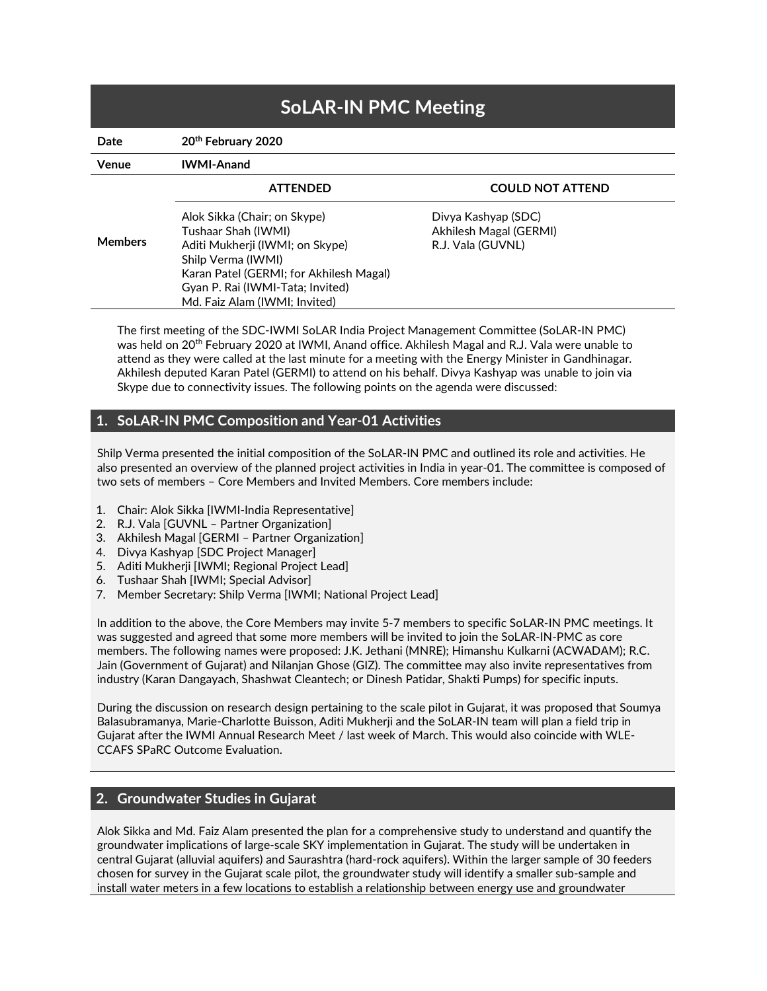| <b>SoLAR-IN PMC Meeting</b> |                                                        |                                             |
|-----------------------------|--------------------------------------------------------|---------------------------------------------|
| Date                        | 20th February 2020                                     |                                             |
| Venue                       | <b>IWMI-Anand</b>                                      |                                             |
| <b>Members</b>              | <b>ATTENDED</b>                                        | <b>COULD NOT ATTEND</b>                     |
|                             | Alok Sikka (Chair; on Skype)                           | Divya Kashyap (SDC)                         |
|                             | Tushaar Shah (IWMI)<br>Aditi Mukherji (IWMI; on Skype) | Akhilesh Magal (GERMI)<br>R.J. Vala (GUVNL) |
|                             | Shilp Verma (IWMI)                                     |                                             |
|                             | Karan Patel (GERMI; for Akhilesh Magal)                |                                             |
|                             | Gyan P. Rai (IWMI-Tata; Invited)                       |                                             |
|                             | Md. Faiz Alam (IWMI; Invited)                          |                                             |

The first meeting of the SDC-IWMI SoLAR India Project Management Committee (SoLAR-IN PMC) was held on 20<sup>th</sup> February 2020 at IWMI, Anand office. Akhilesh Magal and R.J. Vala were unable to attend as they were called at the last minute for a meeting with the Energy Minister in Gandhinagar. Akhilesh deputed Karan Patel (GERMI) to attend on his behalf. Divya Kashyap was unable to join via Skype due to connectivity issues. The following points on the agenda were discussed:

# 1. SoLAR-IN PMC Composition and Year-01 Activities

Shilp Verma presented the initial composition of the SoLAR-IN PMC and outlined its role and activities. He also presented an overview of the planned project activities in India in year-01. The committee is composed of two sets of members – Core Members and Invited Members. Core members include:

- 1. Chair: Alok Sikka [IWMI-India Representative]
- 2. R.J. Vala [GUVNL Partner Organization]
- 3. Akhilesh Magal [GERMI Partner Organization]
- 4. Divya Kashyap [SDC Project Manager]
- 5. Aditi Mukherji [IWMI; Regional Project Lead]
- 6. Tushaar Shah [IWMI; Special Advisor]
- 7. Member Secretary: Shilp Verma [IWMI; National Project Lead]

In addition to the above, the Core Members may invite 5-7 members to specific SoLAR-IN PMC meetings. It was suggested and agreed that some more members will be invited to join the SoLAR-IN-PMC as core members. The following names were proposed: J.K. Jethani (MNRE); Himanshu Kulkarni (ACWADAM); R.C. Jain (Government of Gujarat) and Nilanjan Ghose (GIZ). The committee may also invite representatives from industry (Karan Dangayach, Shashwat Cleantech; or Dinesh Patidar, Shakti Pumps) for specific inputs.

During the discussion on research design pertaining to the scale pilot in Gujarat, it was proposed that Soumya Balasubramanya, Marie-Charlotte Buisson, Aditi Mukherji and the SoLAR-IN team will plan a field trip in Gujarat after the IWMI Annual Research Meet / last week of March. This would also coincide with WLE-CCAFS SPaRC Outcome Evaluation.

#### 2. Groundwater Studies in Gujarat

Alok Sikka and Md. Faiz Alam presented the plan for a comprehensive study to understand and quantify the groundwater implications of large-scale SKY implementation in Gujarat. The study will be undertaken in central Gujarat (alluvial aquifers) and Saurashtra (hard-rock aquifers). Within the larger sample of 30 feeders chosen for survey in the Gujarat scale pilot, the groundwater study will identify a smaller sub-sample and install water meters in a few locations to establish a relationship between energy use and groundwater